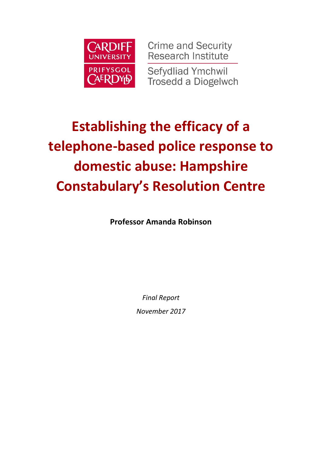

**Crime and Security Research Institute Sefydliad Ymchwil Trosedd a Diogelwch** 

# **Establishing the efficacy of a telephone-based police response to domestic abuse: Hampshire Constabulary's Resolution Centre**

**Professor Amanda Robinson**

*Final Report*

*November 2017*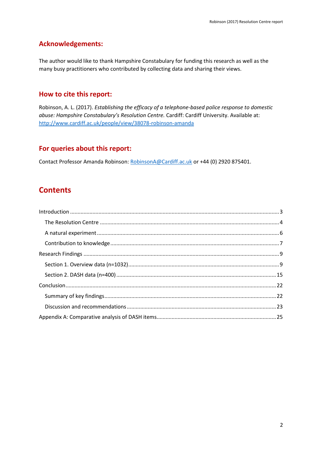#### **Acknowledgements:**

The author would like to thank Hampshire Constabulary for funding this research as well as the many busy practitioners who contributed by collecting data and sharing their views.

#### **How to cite this report:**

Robinson, A. L. (2017). *Establishing the efficacy of a telephone-based police response to domestic abuse: Hampshire Constabulary's Resolution Centre.* Cardiff: Cardiff University. Available at: <http://www.cardiff.ac.uk/people/view/38078-robinson-amanda>

#### **For queries about this report:**

Contact Professor Amanda Robinson: [RobinsonA@Cardiff.ac.uk](mailto:RobinsonA@Cardiff.ac.uk) or +44 (0) 2920 875401.

### **Contents**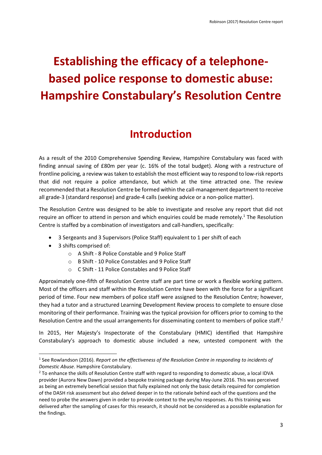# **Establishing the efficacy of a telephonebased police response to domestic abuse: Hampshire Constabulary's Resolution Centre**

## **Introduction**

<span id="page-2-0"></span>As a result of the 2010 Comprehensive Spending Review, Hampshire Constabulary was faced with finding annual saving of £80m per year (c. 16% of the total budget). Along with a restructure of frontline policing, a review was taken to establish the most efficient way to respond to low-risk reports that did not require a police attendance, but which at the time attracted one. The review recommended that a Resolution Centre be formed within the call-management department to receive all grade-3 (standard response) and grade-4 calls (seeking advice or a non-police matter).

The Resolution Centre was designed to be able to investigate and resolve any report that did not require an officer to attend in person and which enquiries could be made remotely.<sup>1</sup> The Resolution Centre is staffed by a combination of investigators and call-handlers, specifically:

- 3 Sergeants and 3 Supervisors (Police Staff) equivalent to 1 per shift of each
- 3 shifts comprised of:

1

- o A Shift 8 Police Constable and 9 Police Staff
- o B Shift 10 Police Constables and 9 Police Staff
- o C Shift 11 Police Constables and 9 Police Staff

Approximately one-fifth of Resolution Centre staff are part time or work a flexible working pattern. Most of the officers and staff within the Resolution Centre have been with the force for a significant period of time. Four new members of police staff were assigned to the Resolution Centre; however, they had a tutor and a structured Learning Development Review process to complete to ensure close monitoring of their performance. Training was the typical provision for officers prior to coming to the Resolution Centre and the usual arrangements for disseminating content to members of police staff.<sup>2</sup>

In 2015, Her Majesty's Inspectorate of the Constabulary (HMIC) identified that Hampshire Constabulary's approach to domestic abuse included a new, untested component with the

<sup>&</sup>lt;sup>1</sup> See Rowlandson (2016). *Report on the effectiveness of the Resolution Centre in responding to incidents of Domestic Abuse*. Hampshire Constabulary.

<sup>&</sup>lt;sup>2</sup> To enhance the skills of Resolution Centre staff with regard to responding to domestic abuse, a local IDVA provider (Aurora New Dawn) provided a bespoke training package during May-June 2016. This was perceived as being an extremely beneficial session that fully explained not only the basic details required for completion of the DASH risk assessment but also delved deeper in to the rationale behind each of the questions and the need to probe the answers given in order to provide context to the yes/no responses. As this training was delivered after the sampling of cases for this research, it should not be considered as a possible explanation for the findings.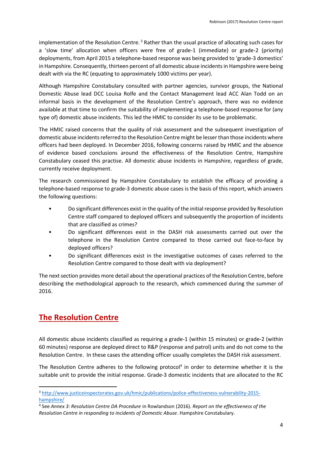implementation of the Resolution Centre.<sup>3</sup> Rather than the usual practice of allocating such cases for a 'slow time' allocation when officers were free of grade-1 (immediate) or grade-2 (priority) deployments, from April 2015 a telephone-based response was being provided to 'grade-3 domestics' in Hampshire. Consequently, thirteen percent of all domestic abuse incidents in Hampshire were being dealt with via the RC (equating to approximately 1000 victims per year).

Although Hampshire Constabulary consulted with partner agencies, survivor groups, the National Domestic Abuse lead DCC Louisa Rolfe and the Contact Management lead ACC Alan Todd on an informal basis in the development of the Resolution Centre's approach, there was no evidence available at that time to confirm the suitability of implementing a telephone-based response for (any type of) domestic abuse incidents. This led the HMIC to consider its use to be problematic.

The HMIC raised concerns that the quality of risk assessment and the subsequent investigation of domestic abuse incidents referred to the Resolution Centre might be lesser than those incidents where officers had been deployed. In December 2016, following concerns raised by HMIC and the absence of evidence based conclusions around the effectiveness of the Resolution Centre, Hampshire Constabulary ceased this practise. All domestic abuse incidents in Hampshire, regardless of grade, currently receive deployment.

The research commissioned by Hampshire Constabulary to establish the efficacy of providing a telephone-based response to grade-3 domestic abuse cases is the basis of this report, which answers the following questions:

- Do significant differences exist in the quality of the initial response provided by Resolution Centre staff compared to deployed officers and subsequently the proportion of incidents that are classified as crimes?
- Do significant differences exist in the DASH risk assessments carried out over the telephone in the Resolution Centre compared to those carried out face-to-face by deployed officers?
- Do significant differences exist in the investigative outcomes of cases referred to the Resolution Centre compared to those dealt with via deployment?

The next section provides more detail about the operational practices of the Resolution Centre, before describing the methodological approach to the research, which commenced during the summer of 2016.

## <span id="page-3-0"></span>**The Resolution Centre**

**.** 

All domestic abuse incidents classified as requiring a grade-1 (within 15 minutes) or grade-2 (within 60 minutes) response are deployed direct to R&P (response and patrol) units and do not come to the Resolution Centre. In these cases the attending officer usually completes the DASH risk assessment.

The Resolution Centre adheres to the following protocol<sup>4</sup> in order to determine whether it is the suitable unit to provide the initial response. Grade-3 domestic incidents that are allocated to the RC

<sup>3</sup> [http://www.justiceinspectorates.gov.uk/hmic/publications/police-effectiveness-vulnerability-2015](http://www.justiceinspectorates.gov.uk/hmic/publications/police-effectiveness-vulnerability-2015-hampshire/) [hampshire/](http://www.justiceinspectorates.gov.uk/hmic/publications/police-effectiveness-vulnerability-2015-hampshire/)

<sup>4</sup> See *Annex 3: Resolution Centre DA Procedure* in Rowlandson (2016). *Report on the effectiveness of the Resolution Centre in responding to incidents of Domestic Abuse*. Hampshire Constabulary.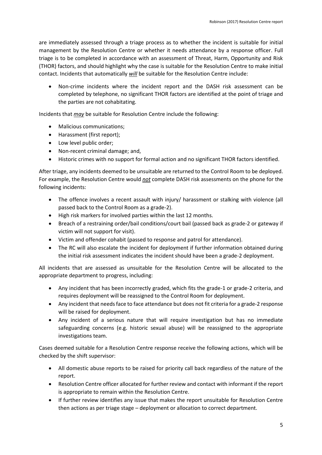are immediately assessed through a triage process as to whether the incident is suitable for initial management by the Resolution Centre or whether it needs attendance by a response officer. Full triage is to be completed in accordance with an assessment of Threat, Harm, Opportunity and Risk (THOR) factors, and should highlight why the case is suitable for the Resolution Centre to make initial contact. Incidents that automatically *will* be suitable for the Resolution Centre include:

 Non-crime incidents where the incident report and the DASH risk assessment can be completed by telephone, no significant THOR factors are identified at the point of triage and the parties are not cohabitating.

Incidents that *may* be suitable for Resolution Centre include the following:

- Malicious communications;
- Harassment (first report):
- Low level public order;
- Non-recent criminal damage; and,
- Historic crimes with no support for formal action and no significant THOR factors identified.

After triage, any incidents deemed to be unsuitable are returned to the Control Room to be deployed. For example, the Resolution Centre would *not* complete DASH risk assessments on the phone for the following incidents:

- The offence involves a recent assault with injury/ harassment or stalking with violence (all passed back to the Control Room as a grade-2).
- High risk markers for involved parties within the last 12 months.
- Breach of a restraining order/bail conditions/court bail (passed back as grade-2 or gateway if victim will not support for visit).
- Victim and offender cohabit (passed to response and patrol for attendance).
- The RC will also escalate the incident for deployment if further information obtained during the initial risk assessment indicates the incident should have been a grade-2 deployment.

All incidents that are assessed as unsuitable for the Resolution Centre will be allocated to the appropriate department to progress, including:

- Any incident that has been incorrectly graded, which fits the grade-1 or grade-2 criteria, and requires deployment will be reassigned to the Control Room for deployment.
- Any incident that needs face to face attendance but does not fit criteria for a grade-2 response will be raised for deployment.
- Any incident of a serious nature that will require investigation but has no immediate safeguarding concerns (e.g. historic sexual abuse) will be reassigned to the appropriate investigations team.

Cases deemed suitable for a Resolution Centre response receive the following actions, which will be checked by the shift supervisor:

- All domestic abuse reports to be raised for priority call back regardless of the nature of the report.
- Resolution Centre officer allocated for further review and contact with informant if the report is appropriate to remain within the Resolution Centre.
- If further review identifies any issue that makes the report unsuitable for Resolution Centre then actions as per triage stage – deployment or allocation to correct department.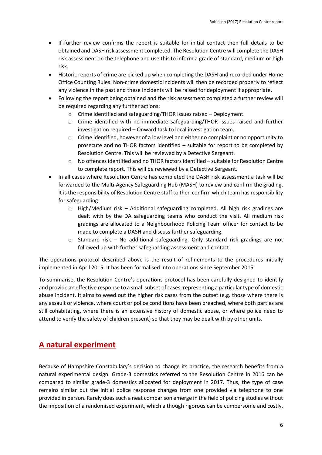- If further review confirms the report is suitable for initial contact then full details to be obtained and DASH risk assessment completed. The Resolution Centre will complete the DASH risk assessment on the telephone and use this to inform a grade of standard, medium or high risk.
- Historic reports of crime are picked up when completing the DASH and recorded under Home Office Counting Rules. Non-crime domestic incidents will then be recorded properly to reflect any violence in the past and these incidents will be raised for deployment if appropriate.
- Following the report being obtained and the risk assessment completed a further review will be required regarding any further actions:
	- o Crime identified and safeguarding/THOR issues raised Deployment.
	- o Crime identified with no immediate safeguarding/THOR issues raised and further investigation required – Onward task to local investigation team.
	- Crime identified, however of a low level and either no complaint or no opportunity to prosecute and no THOR factors identified – suitable for report to be completed by Resolution Centre. This will be reviewed by a Detective Sergeant.
	- o No offences identified and no THOR factors identified suitable for Resolution Centre to complete report. This will be reviewed by a Detective Sergeant.
- In all cases where Resolution Centre has completed the DASH risk assessment a task will be forwarded to the Multi-Agency Safeguarding Hub (MASH) to review and confirm the grading. It is the responsibility of Resolution Centre staff to then confirm which team has responsibility for safeguarding:
	- $\circ$  High/Medium risk Additional safeguarding completed. All high risk gradings are dealt with by the DA safeguarding teams who conduct the visit. All medium risk gradings are allocated to a Neighbourhood Policing Team officer for contact to be made to complete a DASH and discuss further safeguarding.
	- $\circ$  Standard risk No additional safeguarding. Only standard risk gradings are not followed up with further safeguarding assessment and contact.

The operations protocol described above is the result of refinements to the procedures initially implemented in April 2015. It has been formalised into operations since September 2015.

To summarise, the Resolution Centre's operations protocol has been carefully designed to identify and provide an effective response to a small subset of cases, representing a particular type of domestic abuse incident. It aims to weed out the higher risk cases from the outset (e.g. those where there is any assault or violence, where court or police conditions have been breached, where both parties are still cohabitating, where there is an extensive history of domestic abuse, or where police need to attend to verify the safety of children present) so that they may be dealt with by other units.

## <span id="page-5-0"></span>**A natural experiment**

Because of Hampshire Constabulary's decision to change its practice, the research benefits from a natural experimental design. Grade-3 domestics referred to the Resolution Centre in 2016 can be compared to similar grade-3 domestics allocated for deployment in 2017. Thus, the type of case remains similar but the initial police response changes from one provided via telephone to one provided in person. Rarely does such a neat comparison emerge in the field of policing studies without the imposition of a randomised experiment, which although rigorous can be cumbersome and costly,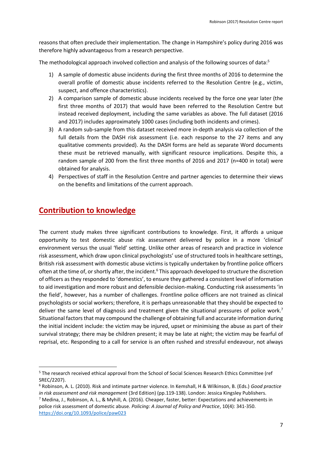reasons that often preclude their implementation. The change in Hampshire's policy during 2016 was therefore highly advantageous from a research perspective.

The methodological approach involved collection and analysis of the following sources of data:<sup>5</sup>

- 1) A sample of domestic abuse incidents during the first three months of 2016 to determine the overall profile of domestic abuse incidents referred to the Resolution Centre (e.g., victim, suspect, and offence characteristics).
- 2) A comparison sample of domestic abuse incidents received by the force one year later (the first three months of 2017) that would have been referred to the Resolution Centre but instead received deployment, including the same variables as above. The full dataset (2016 and 2017) includes approximately 1000 cases (including both incidents and crimes).
- 3) A random sub-sample from this dataset received more in-depth analysis via collection of the full details from the DASH risk assessment (i.e. each response to the 27 items and any qualitative comments provided). As the DASH forms are held as separate Word documents these must be retrieved manually, with significant resource implications. Despite this, a random sample of 200 from the first three months of 2016 and 2017 (n=400 in total) were obtained for analysis.
- 4) Perspectives of staff in the Resolution Centre and partner agencies to determine their views on the benefits and limitations of the current approach.

## <span id="page-6-0"></span>**Contribution to knowledge**

 $\overline{a}$ 

The current study makes three significant contributions to knowledge. First, it affords a unique opportunity to test domestic abuse risk assessment delivered by police in a more 'clinical' environment versus the usual 'field' setting. Unlike other areas of research and practice in violence risk assessment, which draw upon clinical psychologists' use of structured tools in healthcare settings, British risk assessment with domestic abuse victims is typically undertaken by frontline police officers often at the time of, or shortly after, the incident.<sup>6</sup> This approach developed to structure the discretion of officers as they responded to 'domestics', to ensure they gathered a consistent level of information to aid investigation and more robust and defensible decision-making. Conducting risk assessments 'in the field', however, has a number of challenges. Frontline police officers are not trained as clinical psychologists or social workers; therefore, it is perhaps unreasonable that they should be expected to deliver the same level of diagnosis and treatment given the situational pressures of police work.<sup>7</sup> Situational factors that may compound the challenge of obtaining full and accurate information during the initial incident include: the victim may be injured, upset or minimising the abuse as part of their survival strategy; there may be children present; it may be late at night; the victim may be fearful of reprisal, etc. Responding to a call for service is an often rushed and stressful endeavour, not always

<sup>&</sup>lt;sup>5</sup> The research received ethical approval from the School of Social Sciences Research Ethics Committee (ref SREC/2207).

<sup>6</sup> Robinson, A. L. (2010). Risk and intimate partner violence. In Kemshall, H & Wilkinson, B. (Eds.) *Good practice in risk assessment and risk management* (3rd Edition) (pp.119-138). London: Jessica Kingsley Publishers.

<sup>7</sup> Medina, J., Robinson, A. L., & Myhill, A. (2016). Cheaper, faster, better: Expectations and achievements in police risk assessment of domestic abuse. *Policing: A Journal of Policy and Practice*, 10(4): 341-350. <https://doi.org/10.1093/police/paw023>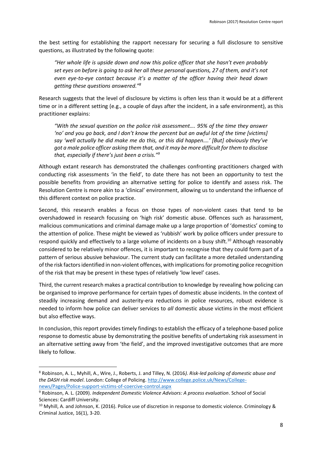the best setting for establishing the rapport necessary for securing a full disclosure to sensitive questions, as illustrated by the following quote:

*"Her whole life is upside down and now this police officer that she hasn't even probably set eyes on before is going to ask her all these personal questions, 27 of them, and it's not even eye-to-eye contact because it's a matter of the officer having their head down getting these questions answered."<sup>8</sup>*

Research suggests that the level of disclosure by victims is often less than it would be at a different time or in a different setting (e.g., a couple of days after the incident, in a safe environment), as this practitioner explains:

*"With the sexual question on the police risk assessment…. 95% of the time they answer 'no' and you go back, and I don't know the percent but an awful lot of the time [victims] say 'well actually he did make me do this, or this did happen….' [But] obviously they've got a male police officer asking them that, and it may be more difficult for them to disclose that, especially if there's just been a crisis." 9*

Although extant research has demonstrated the challenges confronting practitioners charged with conducting risk assessments 'in the field', to date there has not been an opportunity to test the possible benefits from providing an alternative setting for police to identify and assess risk. The Resolution Centre is more akin to a 'clinical' environment, allowing us to understand the influence of this different context on police practice.

Second, this research enables a focus on those types of non-violent cases that tend to be overshadowed in research focussing on 'high risk' domestic abuse. Offences such as harassment, malicious communications and criminal damage make up a large proportion of 'domestics' coming to the attention of police. These might be viewed as 'rubbish' work by police officers under pressure to respond quickly and effectively to a large volume of incidents on a busy shift.<sup>10</sup> Although reasonably considered to be relatively minor offences, it is important to recognise that they could form part of a pattern of serious abusive behaviour. The current study can facilitate a more detailed understanding of the risk factors identified in non-violent offences, with implications for promoting police recognition of the risk that may be present in these types of relatively 'low level' cases.

Third, the current research makes a practical contribution to knowledge by revealing how policing can be organised to improve performance for certain types of domestic abuse incidents. In the context of steadily increasing demand and austerity-era reductions in police resources, robust evidence is needed to inform how police can deliver services to *all* domestic abuse victims in the most efficient but also effective ways.

In conclusion, this report provides timely findings to establish the efficacy of a telephone-based police response to domestic abuse by demonstrating the positive benefits of undertaking risk assessment in an alternative setting away from 'the field', and the improved investigative outcomes that are more likely to follow.

 $\overline{a}$ 

<sup>8</sup> Robinson, A. L., Myhill, A., Wire, J., Roberts, J. and Tilley, N. (2016*). Risk-led policing of domestic abuse and the DASH risk model*. London: College of Policing. [http://www.college.police.uk/News/College](http://www.college.police.uk/News/College-news/Pages/Police-support-victims-of-coercive-control.aspx)[news/Pages/Police-support-victims-of-coercive-control.aspx](http://www.college.police.uk/News/College-news/Pages/Police-support-victims-of-coercive-control.aspx)

<sup>9</sup> Robinson, A. L. (2009). *Independent Domestic Violence Advisors: A process evaluation*. School of Social Sciences: Cardiff University.

<sup>&</sup>lt;sup>10</sup> Myhill, A. and Johnson, K. (2016). Police use of discretion in response to domestic violence. Criminology & Criminal Justice, 16(1), 3-20.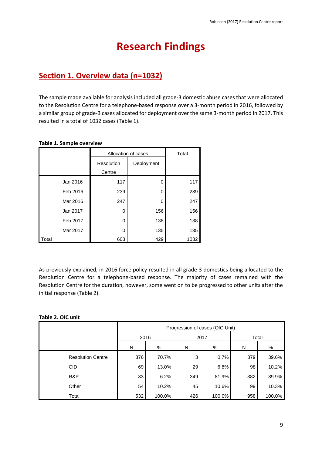# **Research Findings**

## <span id="page-8-1"></span><span id="page-8-0"></span>**Section 1. Overview data (n=1032)**

The sample made available for analysis included all grade-3 domestic abuse cases that were allocated to the Resolution Centre for a telephone-based response over a 3-month period in 2016, followed by a similar group of grade-3 cases allocated for deployment over the same 3-month period in 2017. This resulted in a total of 1032 cases (Table 1).

|       |          |            | Allocation of cases |      |  |  |  |
|-------|----------|------------|---------------------|------|--|--|--|
|       |          | Resolution | Deployment          |      |  |  |  |
|       |          | Centre     |                     |      |  |  |  |
|       | Jan 2016 | 117        | O                   | 117  |  |  |  |
|       | Feb 2016 | 239        | 0                   | 239  |  |  |  |
|       | Mar 2016 | 247        | O                   | 247  |  |  |  |
|       | Jan 2017 | 0          | 156                 | 156  |  |  |  |
|       | Feb 2017 | 0          | 138                 | 138  |  |  |  |
|       | Mar 2017 | 0          | 135                 | 135  |  |  |  |
| Total |          | 603        | 429                 | 1032 |  |  |  |

#### **Table 1. Sample overview**

As previously explained, in 2016 force policy resulted in all grade-3 domestics being allocated to the Resolution Centre for a telephone-based response. The majority of cases remained with the Resolution Centre for the duration, however, some went on to be progressed to other units after the initial response (Table 2).

#### **Table 2. OIC unit**

|                          | Progression of cases (OIC Unit) |        |     |        |       |        |  |  |  |
|--------------------------|---------------------------------|--------|-----|--------|-------|--------|--|--|--|
|                          | 2016                            |        |     | 2017   | Total |        |  |  |  |
|                          | N                               | %      | N   | %      | N     | %      |  |  |  |
| <b>Resolution Centre</b> | 376                             | 70.7%  | 3   | 0.7%   | 379   | 39.6%  |  |  |  |
| <b>CID</b>               | 69                              | 13.0%  | 29  | 6.8%   | 98    | 10.2%  |  |  |  |
| R&P                      | 33                              | 6.2%   | 349 | 81.9%  | 382   | 39.9%  |  |  |  |
| Other                    | 54                              | 10.2%  | 45  | 10.6%  | 99    | 10.3%  |  |  |  |
| Total                    | 532                             | 100.0% | 426 | 100.0% | 958   | 100.0% |  |  |  |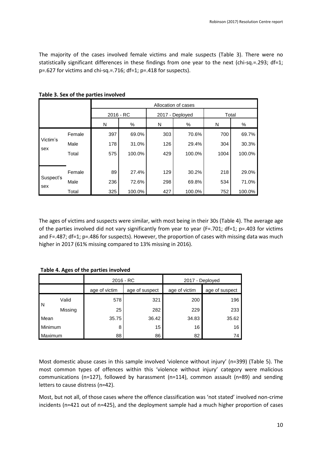The majority of the cases involved female victims and male suspects (Table 3). There were no statistically significant differences in these findings from one year to the next (chi-sq.=.293; df=1; p=.627 for victims and chi-sq.=.716; df=1; p=.418 for suspects).

|           |        | Allocation of cases |             |     |                 |       |        |  |
|-----------|--------|---------------------|-------------|-----|-----------------|-------|--------|--|
|           |        |                     | $2016 - RC$ |     | 2017 - Deployed | Total |        |  |
|           |        | N                   | %           | N   | %               | N     | %      |  |
|           | Female | 397                 | 69.0%       | 303 | 70.6%           | 700   | 69.7%  |  |
| Victim's  | Male   | 178                 | 31.0%       | 126 | 29.4%           | 304   | 30.3%  |  |
| sex       | Total  | 575                 | 100.0%      | 429 | 100.0%          | 1004  | 100.0% |  |
|           |        |                     |             |     |                 |       |        |  |
| Suspect's | Female | 89                  | 27.4%       | 129 | 30.2%           | 218   | 29.0%  |  |
|           | Male   | 236                 | 72.6%       | 298 | 69.8%           | 534   | 71.0%  |  |
| sex       | Total  | 325                 | 100.0%      | 427 | 100.0%          | 752   | 100.0% |  |

**Table 3. Sex of the parties involved**

The ages of victims and suspects were similar, with most being in their 30s (Table 4). The average age of the parties involved did not vary significantly from year to year ( $F = .701$ ; d $f = 1$ ; p=.403 for victims and F=.487; df=1; p=.486 for suspects). However, the proportion of cases with missing data was much higher in 2017 (61% missing compared to 13% missing in 2016).

**Table 4. Ages of the parties involved**

|         |                                 | $2016 - RC$ |               | 2017 - Deployed |       |
|---------|---------------------------------|-------------|---------------|-----------------|-------|
|         | age of victim<br>age of suspect |             | age of victim | age of suspect  |       |
|         | Valid                           | 578         | 321           | 200             | 196   |
| l N     | Missing                         | 25          | 282           | 229             | 233   |
| Mean    |                                 | 35.75       | 36.42         | 34.83           | 35.62 |
| Minimum |                                 | 8           | 15            | 16              | 16    |
|         | Maximum                         |             | 86            | 82              | 74    |

Most domestic abuse cases in this sample involved 'violence without injury' (n=399) (Table 5). The most common types of offences within this 'violence without injury' category were malicious communications (n=127), followed by harassment (n=114), common assault (n=89) and sending letters to cause distress (n=42).

Most, but not all, of those cases where the offence classification was 'not stated' involved non-crime incidents (n=421 out of n=425), and the deployment sample had a much higher proportion of cases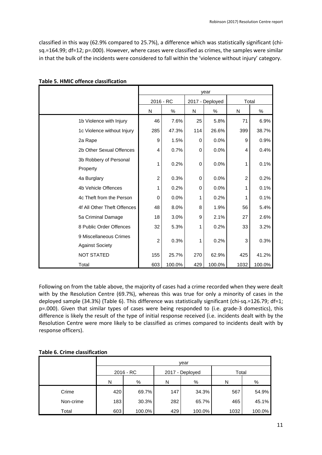classified in this way (62.9% compared to 25.7%), a difference which was statistically significant (chisq.=164.99; df=12; p=.000). However, where cases were classified as crimes, the samples were similar in that the bulk of the incidents were considered to fall within the 'violence without injury' category.

|                                                  | year           |        |                 |        |                |        |  |
|--------------------------------------------------|----------------|--------|-----------------|--------|----------------|--------|--|
|                                                  | $2016 - RC$    |        | 2017 - Deployed |        | Total          |        |  |
|                                                  | N              | %      | N               | %      | N              | $\%$   |  |
| 1b Violence with Injury                          | 46             | 7.6%   | 25              | 5.8%   | 71             | 6.9%   |  |
| 1c Violence without Injury                       | 285            | 47.3%  | 114             | 26.6%  | 399            | 38.7%  |  |
| 2a Rape                                          | 9              | 1.5%   | 0               | 0.0%   | 9              | 0.9%   |  |
| 2b Other Sexual Offences                         | 4              | 0.7%   | 0               | 0.0%   | 4              | 0.4%   |  |
| 3b Robbery of Personal<br>Property               | 1              | 0.2%   | 0               | 0.0%   | 1              | 0.1%   |  |
| 4a Burglary                                      | $\overline{2}$ | 0.3%   | 0               | 0.0%   | $\overline{2}$ | 0.2%   |  |
| 4b Vehicle Offences                              | 1              | 0.2%   | 0               | 0.0%   | 1              | 0.1%   |  |
| 4c Theft from the Person                         | 0              | 0.0%   | 1               | 0.2%   | 1              | 0.1%   |  |
| 4f All Other Theft Offences                      | 48             | 8.0%   | 8               | 1.9%   | 56             | 5.4%   |  |
| 5a Criminal Damage                               | 18             | 3.0%   | 9               | 2.1%   | 27             | 2.6%   |  |
| 8 Public Order Offences                          | 32             | 5.3%   | 1               | 0.2%   | 33             | 3.2%   |  |
| 9 Miscellaneous Crimes<br><b>Against Society</b> | $\overline{c}$ | 0.3%   | 1               | 0.2%   | 3              | 0.3%   |  |
| <b>NOT STATED</b>                                | 155            | 25.7%  | 270             | 62.9%  | 425            | 41.2%  |  |
| Total                                            | 603            | 100.0% | 429             | 100.0% | 1032           | 100.0% |  |

#### **Table 5. HMIC offence classification**

Following on from the table above, the majority of cases had a crime recorded when they were dealt with by the Resolution Centre (69.7%), whereas this was true for only a minority of cases in the deployed sample (34.3%) (Table 6). This difference was statistically significant (chi-sq.=126.79; df=1; p=.000). Given that similar types of cases were being responded to (i.e. grade-3 domestics), this difference is likely the result of the type of initial response received (i.e. incidents dealt with by the Resolution Centre were more likely to be classified as crimes compared to incidents dealt with by response officers).

#### **Table 6. Crime classification**

|           | year |           |     |                 |       |        |  |  |  |  |
|-----------|------|-----------|-----|-----------------|-------|--------|--|--|--|--|
|           |      | 2016 - RC |     | 2017 - Deployed | Total |        |  |  |  |  |
|           | N    | %         | N   | %               | N     | %      |  |  |  |  |
| Crime     | 420  | 69.7%     | 147 | 34.3%           | 567   | 54.9%  |  |  |  |  |
| Non-crime | 183  | 30.3%     | 282 | 65.7%           | 465   | 45.1%  |  |  |  |  |
| Total     | 603  | 100.0%    | 429 | 100.0%          | 1032  | 100.0% |  |  |  |  |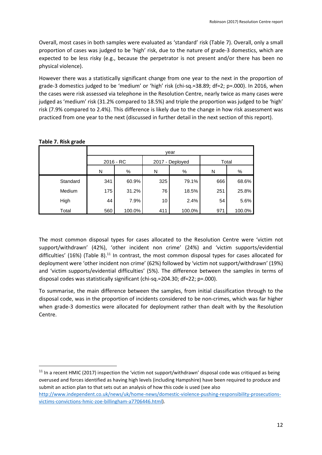Overall, most cases in both samples were evaluated as 'standard' risk (Table 7). Overall, only a small proportion of cases was judged to be 'high' risk, due to the nature of grade-3 domestics, which are expected to be less risky (e.g., because the perpetrator is not present and/or there has been no physical violence).

However there was a statistically significant change from one year to the next in the proportion of grade-3 domestics judged to be 'medium' or 'high' risk (chi-sq.=38.89; df=2; p=.000). In 2016, when the cases were risk assessed via telephone in the Resolution Centre, nearly twice as many cases were judged as 'medium' risk (31.2% compared to 18.5%) and triple the proportion was judged to be 'high' risk (7.9% compared to 2.4%). This difference is likely due to the change in how risk assessment was practiced from one year to the next (discussed in further detail in the next section of this report).

|          | vear        |        |     |                 |       |        |  |  |  |
|----------|-------------|--------|-----|-----------------|-------|--------|--|--|--|
|          | $2016 - RC$ |        |     | 2017 - Deployed | Total |        |  |  |  |
|          | N           | %      | N   | $\%$            | N     | $\%$   |  |  |  |
| Standard | 341         | 60.9%  | 325 | 79.1%           | 666   | 68.6%  |  |  |  |
| Medium   | 175         | 31.2%  | 76  | 18.5%           | 251   | 25.8%  |  |  |  |
| High     | 44          | 7.9%   | 10  | 2.4%            | 54    | 5.6%   |  |  |  |
| Total    | 560         | 100.0% | 411 | 100.0%          | 971   | 100.0% |  |  |  |

1

The most common disposal types for cases allocated to the Resolution Centre were 'victim not support/withdrawn' (42%), 'other incident non crime' (24%) and 'victim supports/evidential difficulties' (16%) (Table 8).<sup>11</sup> In contrast, the most common disposal types for cases allocated for deployment were 'other incident non crime' (62%) followed by 'victim not support/withdrawn' (19%) and 'victim supports/evidential difficulties' (5%). The difference between the samples in terms of disposal codes was statistically significant (chi-sq.=204.30; df=22; p=.000).

To summarise, the main difference between the samples, from initial classification through to the disposal code, was in the proportion of incidents considered to be non-crimes, which was far higher when grade-3 domestics were allocated for deployment rather than dealt with by the Resolution Centre.

 $11$  In a recent HMIC (2017) inspection the 'victim not support/withdrawn' disposal code was critiqued as being overused and forces identified as having high levels (including Hampshire) have been required to produce and submit an action plan to that sets out an analysis of how this code is used (see also [http://www.independent.co.uk/news/uk/home-news/domestic-violence-pushing-responsibility-prosecutions](http://www.independent.co.uk/news/uk/home-news/domestic-violence-pushing-responsibility-prosecutions-victims-convictions-hmic-zoe-billingham-a7706446.html)[victims-convictions-hmic-zoe-billingham-a7706446.html\)](http://www.independent.co.uk/news/uk/home-news/domestic-violence-pushing-responsibility-prosecutions-victims-convictions-hmic-zoe-billingham-a7706446.html).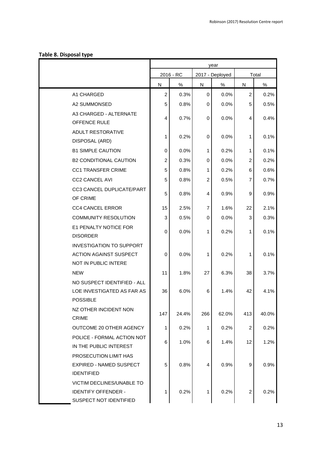#### **Table 8. Disposal type**

|                                                                                          | year           |           |                |                 |                |       |
|------------------------------------------------------------------------------------------|----------------|-----------|----------------|-----------------|----------------|-------|
|                                                                                          |                | 2016 - RC |                | 2017 - Deployed |                | Total |
|                                                                                          | N              | $\%$      | ${\sf N}$      | $\%$            | ${\sf N}$      | %     |
| A1 CHARGED                                                                               | $\overline{2}$ | 0.3%      | $\mathbf 0$    | 0.0%            | $\overline{2}$ | 0.2%  |
| A2 SUMMONSED                                                                             | 5              | 0.8%      | 0              | 0.0%            | 5              | 0.5%  |
| A3 CHARGED - ALTERNATE<br>OFFENCE RULE                                                   | 4              | 0.7%      | 0              | 0.0%            | $\overline{4}$ | 0.4%  |
| <b>ADULT RESTORATIVE</b><br>DISPOSAL (ARD)                                               | 1              | 0.2%      | 0              | 0.0%            | 1              | 0.1%  |
| <b>B1 SIMPLE CAUTION</b>                                                                 | 0              | 0.0%      | 1              | 0.2%            | 1              | 0.1%  |
| <b>B2 CONDITIONAL CAUTION</b>                                                            | $\overline{2}$ | 0.3%      | 0              | 0.0%            | $\overline{2}$ | 0.2%  |
| <b>CC1 TRANSFER CRIME</b>                                                                | 5              | 0.8%      | 1              | 0.2%            | 6              | 0.6%  |
| <b>CC2 CANCEL AVI</b>                                                                    | 5              | 0.8%      | $\overline{c}$ | 0.5%            | 7              | 0.7%  |
| CC3 CANCEL DUPLICATE/PART<br>OF CRIME                                                    | 5              | 0.8%      | 4              | 0.9%            | 9              | 0.9%  |
| <b>CC4 CANCEL ERROR</b>                                                                  | 15             | 2.5%      | $\overline{7}$ | 1.6%            | 22             | 2.1%  |
| <b>COMMUNITY RESOLUTION</b>                                                              | 3              | 0.5%      | 0              | 0.0%            | 3              | 0.3%  |
| E1 PENALTY NOTICE FOR<br><b>DISORDER</b>                                                 | 0              | 0.0%      | 1              | 0.2%            | 1              | 0.1%  |
| <b>INVESTIGATION TO SUPPORT</b><br><b>ACTION AGAINST SUSPECT</b><br>NOT IN PUBLIC INTERE | 0              | 0.0%      | 1              | 0.2%            | 1              | 0.1%  |
| <b>NEW</b>                                                                               | 11             | 1.8%      | 27             | 6.3%            | 38             | 3.7%  |
| NO SUSPECT IDENTIFIED - ALL<br>LOE INVESTIGATED AS FAR AS<br><b>POSSIBLE</b>             | 36             | 6.0%      | 6              | 1.4%            | 42             | 4.1%  |
| NZ OTHER INCIDENT NON<br><b>CRIME</b>                                                    | 147            | 24.4%     | 266            | 62.0%           | 413            | 40.0% |
| OUTCOME 20 OTHER AGENCY                                                                  | 1              | 0.2%      | 1              | 0.2%            | $\overline{2}$ | 0.2%  |
| POLICE - FORMAL ACTION NOT<br>IN THE PUBLIC INTEREST                                     | 6              | 1.0%      | 6              | 1.4%            | 12             | 1.2%  |
| PROSECUTION LIMIT HAS<br>EXPIRED - NAMED SUSPECT<br><b>IDENTIFIED</b>                    | 5              | 0.8%      | 4              | 0.9%            | 9              | 0.9%  |
| <b>VICTIM DECLINES/UNABLE TO</b><br><b>IDENTIFY OFFENDER -</b><br>SUSPECT NOT IDENTIFIED | 1              | 0.2%      | 1              | 0.2%            | $\overline{c}$ | 0.2%  |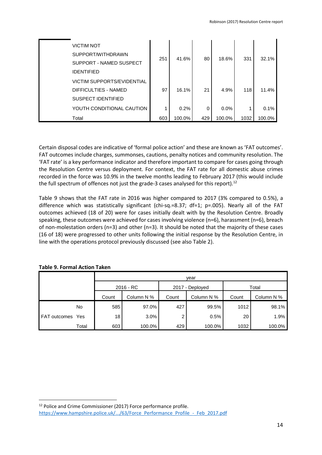|       | <b>VICTIM NOT</b><br>SUPPORT/WITHDRAWN<br>SUPPORT - NAMED SUSPECT<br><b>IDENTIFIED</b> | 251 | 41.6%  | 80  | 18.6%   | 331  | 32.1%  |
|-------|----------------------------------------------------------------------------------------|-----|--------|-----|---------|------|--------|
|       | <b>VICTIM SUPPORTS/EVIDENTIAL</b><br>DIFFICULTIES - NAMED<br><b>SUSPECT IDENTIFIED</b> | 97  | 16.1%  | 21  | 4.9%    | 118  | 11.4%  |
|       | YOUTH CONDITIONAL CAUTION                                                              |     | 0.2%   | 0   | $0.0\%$ |      | 0.1%   |
| Total |                                                                                        | 603 | 100.0% | 429 | 100.0%  | 1032 | 100.0% |

Certain disposal codes are indicative of 'formal police action' and these are known as 'FAT outcomes'. FAT outcomes include charges, summonses, cautions, penalty notices and community resolution. The 'FAT rate' is a key performance indicator and therefore important to compare for cases going through the Resolution Centre versus deployment. For context, the FAT rate for all domestic abuse crimes recorded in the force was 10.9% in the twelve months leading to February 2017 (this would include the full spectrum of offences not just the grade-3 cases analysed for this report).<sup>12</sup>

Table 9 shows that the FAT rate in 2016 was higher compared to 2017 (3% compared to 0.5%), a difference which was statistically significant (chi-sq.=8.37; df=1; p=.005). Nearly all of the FAT outcomes achieved (18 of 20) were for cases initially dealt with by the Resolution Centre. Broadly speaking, these outcomes were achieved for cases involving violence (n=6), harassment (n=6), breach of non-molestation orders (n=3) and other (n=3). It should be noted that the majority of these cases (16 of 18) were progressed to other units following the initial response by the Resolution Centre, in line with the operations protocol previously discussed (see also Table 2).

|              |       | vear        |            |       |                 |       |            |  |  |  |
|--------------|-------|-------------|------------|-------|-----------------|-------|------------|--|--|--|
|              |       | $2016 - RC$ |            |       | 2017 - Deployed | Total |            |  |  |  |
|              |       | Count       | Column N % | Count | Column N %      | Count | Column N % |  |  |  |
|              | No.   | 585         | 97.0%      | 427   | 99.5%           | 1012  | 98.1%      |  |  |  |
| FAT outcomes | Yes   | 18          | 3.0%       | ົ     | 0.5%            | 20    | 1.9%       |  |  |  |
|              | Total | 603         | 100.0%     | 429   | 100.0%          | 1032  | 100.0%     |  |  |  |

|  |  |  | <b>Table 9. Formal Action Taken</b> |  |
|--|--|--|-------------------------------------|--|
|--|--|--|-------------------------------------|--|

<sup>1</sup> <sup>12</sup> Police and Crime Commissioner (2017) Force performance profile. [https://www.hampshire.police.uk/.../63/Force\\_Performance\\_Profile\\_-\\_Feb\\_2017.pdf](https://www.hampshire.police.uk/.../63/Force_Performance_Profile_-_Feb_2017.pdf)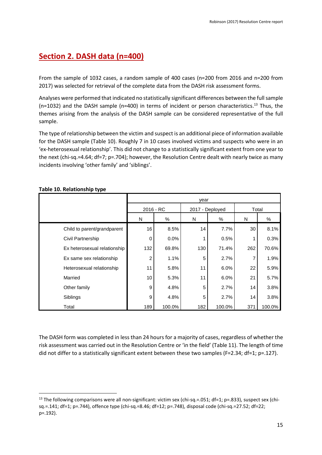## <span id="page-14-0"></span>**Section 2. DASH data (n=400)**

From the sample of 1032 cases, a random sample of 400 cases (n=200 from 2016 and n=200 from 2017) was selected for retrieval of the complete data from the DASH risk assessment forms.

Analyses were performed that indicated no statistically significant differences between the full sample (n=1032) and the DASH sample (n=400) in terms of incident or person characteristics.<sup>13</sup> Thus, the themes arising from the analysis of the DASH sample can be considered representative of the full sample.

The type of relationship between the victim and suspect is an additional piece of information available for the DASH sample (Table 10). Roughly 7 in 10 cases involved victims and suspects who were in an 'ex-heterosexual relationship'. This did not change to a statistically significant extent from one year to the next (chi-sq.=4.64; df=7; p=.704); however, the Resolution Centre dealt with nearly twice as many incidents involving 'other family' and 'siblings'.

|                              | year           |        |                 |        |       |        |
|------------------------------|----------------|--------|-----------------|--------|-------|--------|
|                              | 2016 - RC      |        | 2017 - Deployed |        | Total |        |
|                              | N              | %      | N               | $\%$   | N     | %      |
| Child to parent/grandparent  | 16             | 8.5%   | 14              | 7.7%   | 30    | 8.1%   |
| Civil Partnership            | 0              | 0.0%   |                 | 0.5%   |       | 0.3%   |
| Ex heterosexual relationship | 132            | 69.8%  | 130             | 71.4%  | 262   | 70.6%  |
| Ex same sex relationship     | $\overline{c}$ | 1.1%   | 5               | 2.7%   | 7     | 1.9%   |
| Heterosexual relationship    | 11             | 5.8%   | 11              | 6.0%   | 22    | 5.9%   |
| Married                      | 10             | 5.3%   | 11              | 6.0%   | 21    | 5.7%   |
| Other family                 | 9              | 4.8%   | 5               | 2.7%   | 14    | 3.8%   |
| Siblings                     | 9              | 4.8%   | 5               | 2.7%   | 14    | 3.8%   |
| Total                        | 189            | 100.0% | 182             | 100.0% | 371   | 100.0% |

#### **Table 10. Relationship type**

**.** 

The DASH form was completed in less than 24 hours for a majority of cases, regardless of whether the risk assessment was carried out in the Resolution Centre or 'in the field' (Table 11). The length of time did not differ to a statistically significant extent between these two samples (F=2.34; df=1; p=.127).

<sup>13</sup> The following comparisons were all non-significant: victim sex (chi-sq.=.051; df=1; p=.833), suspect sex (chisq.=.141; df=1; p=.744), offence type (chi-sq.=8.46; df=12; p=.748), disposal code (chi-sq.=27.52; df=22; p=.192).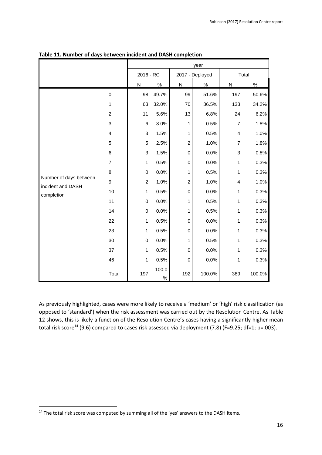|                                             |                         | year             |               |                         |                 |                         |        |  |  |
|---------------------------------------------|-------------------------|------------------|---------------|-------------------------|-----------------|-------------------------|--------|--|--|
|                                             |                         | 2016 - RC        |               |                         | 2017 - Deployed | Total                   |        |  |  |
|                                             |                         | ${\sf N}$        | $\frac{9}{6}$ | ${\sf N}$               | $\%$            | ${\sf N}$               | $\%$   |  |  |
|                                             | $\mathbf 0$             | 98               | 49.7%         | 99                      | 51.6%           | 197                     | 50.6%  |  |  |
|                                             | 1                       | 63               | 32.0%         | 70                      | 36.5%           | 133                     | 34.2%  |  |  |
|                                             | $\overline{c}$          | 11               | 5.6%          | 13                      | 6.8%            | 24                      | 6.2%   |  |  |
|                                             | 3                       | 6                | 3.0%          | 1                       | 0.5%            | $\overline{7}$          | 1.8%   |  |  |
|                                             | $\overline{\mathbf{4}}$ | 3                | 1.5%          | 1                       | 0.5%            | $\overline{\mathbf{4}}$ | 1.0%   |  |  |
|                                             | 5                       | 5                | 2.5%          | $\overline{\mathbf{c}}$ | 1.0%            | $\overline{7}$          | 1.8%   |  |  |
|                                             | 6                       | 3                | 1.5%          | $\mathbf 0$             | 0.0%            | 3                       | 0.8%   |  |  |
|                                             | $\overline{7}$          | 1                | 0.5%          | $\pmb{0}$               | 0.0%            | 1                       | 0.3%   |  |  |
|                                             | 8                       | $\mathbf 0$      | 0.0%          | 1                       | 0.5%            | 1                       | 0.3%   |  |  |
| Number of days between<br>incident and DASH | 9                       | $\overline{c}$   | 1.0%          | $\overline{\mathbf{c}}$ | 1.0%            | $\overline{4}$          | 1.0%   |  |  |
| completion                                  | 10                      | 1                | 0.5%          | $\mathbf 0$             | 0.0%            | 1                       | 0.3%   |  |  |
|                                             | 11                      | $\boldsymbol{0}$ | 0.0%          | 1                       | 0.5%            | 1                       | 0.3%   |  |  |
|                                             | 14                      | $\pmb{0}$        | 0.0%          | 1                       | 0.5%            | 1                       | 0.3%   |  |  |
|                                             | 22                      | 1                | 0.5%          | $\mathbf 0$             | 0.0%            | 1                       | 0.3%   |  |  |
|                                             | 23                      | 1                | 0.5%          | $\mathbf 0$             | 0.0%            | 1                       | 0.3%   |  |  |
|                                             | 30                      | $\mathsf 0$      | 0.0%          | 1                       | 0.5%            | 1                       | 0.3%   |  |  |
|                                             | 37                      | 1                | 0.5%          | $\mathbf 0$             | 0.0%            | 1                       | 0.3%   |  |  |
|                                             | 46                      | 1                | 0.5%          | $\mathbf 0$             | 0.0%            | 1                       | 0.3%   |  |  |
|                                             | Total                   | 197              | 100.0<br>$\%$ | 192                     | 100.0%          | 389                     | 100.0% |  |  |

#### **Table 11. Number of days between incident and DASH completion**

As previously highlighted, cases were more likely to receive a 'medium' or 'high' risk classification (as opposed to 'standard') when the risk assessment was carried out by the Resolution Centre. As Table 12 shows, this is likely a function of the Resolution Centre's cases having a significantly higher mean total risk score<sup>14</sup> (9.6) compared to cases risk assessed via deployment (7.8) (F=9.25; df=1; p=.003).

**<sup>.</sup>** <sup>14</sup> The total risk score was computed by summing all of the 'yes' answers to the DASH items.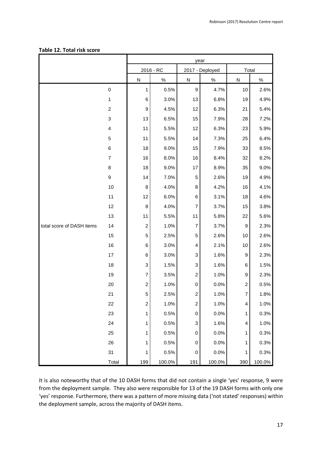|                           |                           | year                    |           |                         |                 |                         |        |
|---------------------------|---------------------------|-------------------------|-----------|-------------------------|-----------------|-------------------------|--------|
|                           |                           |                         | 2016 - RC |                         | 2017 - Deployed | Total                   |        |
|                           |                           | ${\sf N}$               | $\%$      | $\overline{\mathsf{N}}$ | $\%$            | $\overline{\mathsf{N}}$ | $\%$   |
|                           | $\mbox{O}$                | 1                       | 0.5%      | $\boldsymbol{9}$        | 4.7%            | 10                      | 2.6%   |
|                           | 1                         | 6                       | 3.0%      | 13                      | 6.8%            | 19                      | 4.9%   |
|                           | $\boldsymbol{2}$          | 9                       | 4.5%      | 12                      | 6.3%            | 21                      | 5.4%   |
|                           | $\ensuremath{\mathsf{3}}$ | 13                      | 6.5%      | 15                      | 7.9%            | 28                      | 7.2%   |
|                           | 4                         | 11                      | 5.5%      | 12                      | 6.3%            | 23                      | 5.9%   |
|                           | 5                         | 11                      | 5.5%      | 14                      | 7.3%            | 25                      | 6.4%   |
|                           | 6                         | 18                      | 9.0%      | 15                      | 7.9%            | 33                      | 8.5%   |
|                           | $\overline{7}$            | 16                      | 8.0%      | 16                      | 8.4%            | 32                      | 8.2%   |
|                           | 8                         | 18                      | 9.0%      | 17                      | 8.9%            | 35                      | 9.0%   |
|                           | $\boldsymbol{9}$          | 14                      | 7.0%      | 5                       | 2.6%            | 19                      | 4.9%   |
|                           | 10                        | 8                       | 4.0%      | 8                       | 4.2%            | 16                      | 4.1%   |
|                           | 11                        | 12                      | 6.0%      | 6                       | 3.1%            | 18                      | 4.6%   |
|                           | 12                        | 8                       | 4.0%      | $\overline{7}$          | 3.7%            | 15                      | 3.8%   |
|                           | 13                        | 11                      | 5.5%      | 11                      | 5.8%            | 22                      | 5.6%   |
| total score of DASH items | 14                        | $\overline{c}$          | 1.0%      | $\overline{7}$          | 3.7%            | 9                       | 2.3%   |
|                           | 15                        | 5                       | 2.5%      | 5                       | 2.6%            | 10                      | 2.6%   |
|                           | 16                        | 6                       | 3.0%      | 4                       | 2.1%            | 10                      | 2.6%   |
|                           | 17                        | 6                       | 3.0%      | 3                       | 1.6%            | 9                       | 2.3%   |
|                           | 18                        | 3                       | 1.5%      | 3                       | 1.6%            | 6                       | 1.5%   |
|                           | 19                        | $\overline{7}$          | 3.5%      | $\overline{\mathbf{c}}$ | 1.0%            | 9                       | 2.3%   |
|                           | 20                        | $\overline{\mathbf{c}}$ | 1.0%      | $\boldsymbol{0}$        | 0.0%            | $\overline{c}$          | 0.5%   |
|                           | 21                        | 5                       | 2.5%      | $\overline{\mathbf{c}}$ | 1.0%            | $\boldsymbol{7}$        | 1.8%   |
|                           | 22                        | $\overline{\mathbf{c}}$ | 1.0%      | $\boldsymbol{2}$        | 1.0%            | 4                       | 1.0%   |
|                           | 23                        | 1                       | 0.5%      | $\pmb{0}$               | 0.0%            | 1                       | 0.3%   |
|                           | 24                        | 1                       | 0.5%      | 3                       | 1.6%            | 4                       | 1.0%   |
|                           | 25                        | 1                       | 0.5%      | $\mathbf 0$             | 0.0%            | 1                       | 0.3%   |
|                           | 26                        | 1                       | 0.5%      | $\pmb{0}$               | 0.0%            | 1                       | 0.3%   |
|                           | 31                        | 1                       | 0.5%      | $\pmb{0}$               | 0.0%            | 1                       | 0.3%   |
|                           | Total                     | 199                     | 100.0%    | 191                     | 100.0%          | 390                     | 100.0% |

#### **Table 12. Total risk score**

It is also noteworthy that of the 10 DASH forms that did not contain a single 'yes' response, 9 were from the deployment sample. They also were responsible for 13 of the 19 DASH forms with only one 'yes' response. Furthermore, there was a pattern of more missing data ('not stated' responses) within the deployment sample, across the majority of DASH items.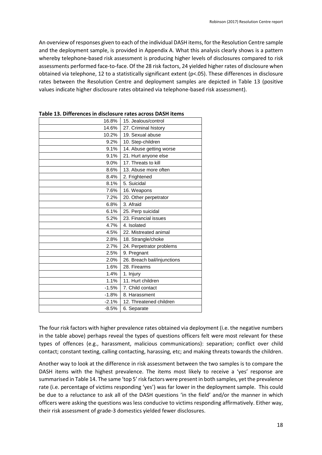An overview of responses given to each of the individual DASH items, for the Resolution Centre sample and the deployment sample, is provided in Appendix A. What this analysis clearly shows is a pattern whereby telephone-based risk assessment is producing higher levels of disclosures compared to risk assessments performed face-to-face. Of the 28 risk factors, 24 yielded higher rates of disclosure when obtained via telephone, 12 to a statistically significant extent (p<.05). These differences in disclosure rates between the Resolution Centre and deployment samples are depicted in Table 13 (positive values indicate higher disclosure rates obtained via telephone-based risk assessment).

| 16.8%   | 15. Jealous/control         |
|---------|-----------------------------|
| 14.6%   | 27. Criminal history        |
| 10.2%   | 19. Sexual abuse            |
| 9.2%    | 10. Step-children           |
| 9.1%    | 14. Abuse getting worse     |
| 9.1%    | 21. Hurt anyone else        |
| 9.0%    | 17. Threats to kill         |
| 8.6%    | 13. Abuse more often        |
| 8.4%    | 2. Frightened               |
| 8.1%    | 5. Suicidal                 |
| 7.6%    | 16. Weapons                 |
| 7.2%    | 20. Other perpetrator       |
| 6.8%    | 3. Afraid                   |
| 6.1%    | 25. Perp suicidal           |
| 5.2%    | 23. Financial issues        |
| 4.7%    | 4. Isolated                 |
| 4.5%    | 22. Mistreated animal       |
| 2.8%    | 18. Strangle/choke          |
| 2.7%    | 24. Perpetrator problems    |
| 2.5%    | 9. Pregnant                 |
| 2.0%    | 26. Breach bail/injunctions |
| 1.6%    | 28. Firearms                |
| 1.4%    | 1. Injury                   |
| 1.1%    | 11. Hurt children           |
| $-1.5%$ | 7. Child contact            |
| $-1.8%$ | 8. Harassment               |
| $-2.1%$ | 12. Threatened children     |
| $-8.5%$ | 6. Separate                 |

**Table 13. Differences in disclosure rates across DASH items**

The four risk factors with higher prevalence rates obtained via deployment (i.e. the negative numbers in the table above) perhaps reveal the types of questions officers felt were most relevant for these types of offences (e.g., harassment, malicious communications): separation; conflict over child contact; constant texting, calling contacting, harassing, etc; and making threats towards the children.

Another way to look at the difference in risk assessment between the two samples is to compare the DASH items with the highest prevalence. The items most likely to receive a 'yes' response are summarised in Table 14. The same 'top 5' risk factors were present in both samples, yet the prevalence rate (i.e. percentage of victims responding 'yes') was far lower in the deployment sample. This could be due to a reluctance to ask all of the DASH questions 'in the field' and/or the manner in which officers were asking the questions was less conducive to victims responding affirmatively. Either way, their risk assessment of grade-3 domestics yielded fewer disclosures.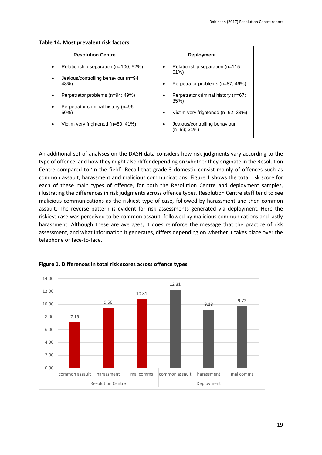#### **Table 14. Most prevalent risk factors**

| <b>Resolution Centre</b>                                                                                       | <b>Deployment</b>                                                                                    |
|----------------------------------------------------------------------------------------------------------------|------------------------------------------------------------------------------------------------------|
| Relationship separation (n=100; 52%)<br>$\bullet$<br>Jealous/controlling behaviour (n=94;<br>$\bullet$<br>48%) | Relationship separation (n=115;<br>$\bullet$<br>61%<br>Perpetrator problems (n=87; 46%)<br>$\bullet$ |
| Perpetrator problems (n=94; 49%)<br>$\bullet$<br>Perpetrator criminal history (n=96;<br>$\bullet$              | Perpetrator criminal history (n=67;<br>٠<br>35%                                                      |
| $50\%$                                                                                                         | Victim very frightened (n=62; 33%)<br>$\bullet$                                                      |
| Victim very frightened (n=80; 41%)<br>$\bullet$                                                                | Jealous/controlling behaviour<br>٠<br>$(n=59; 31\%)$                                                 |

An additional set of analyses on the DASH data considers how risk judgments vary according to the type of offence, and how they might also differ depending on whether they originate in the Resolution Centre compared to 'in the field'. Recall that grade-3 domestic consist mainly of offences such as common assault, harassment and malicious communications. Figure 1 shows the total risk score for each of these main types of offence, for both the Resolution Centre and deployment samples, illustrating the differences in risk judgments across offence types. Resolution Centre staff tend to see malicious communications as the riskiest type of case, followed by harassment and then common assault. The reverse pattern is evident for risk assessments generated via deployment. Here the riskiest case was perceived to be common assault, followed by malicious communications and lastly harassment. Although these are averages, it does reinforce the message that the practice of risk assessment, and what information it generates, differs depending on whether it takes place over the telephone or face-to-face.



#### **Figure 1. Differences in total risk scores across offence types**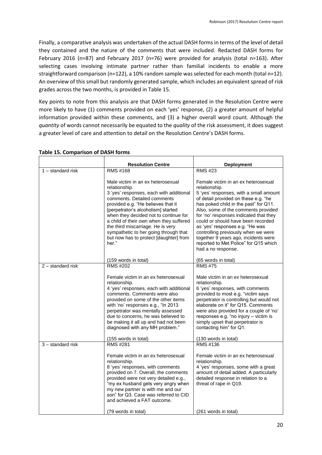Finally, a comparative analysis was undertaken of the actual DASH forms in terms of the level of detail they contained and the nature of the comments that were included. Redacted DASH forms for February 2016 (n=87) and February 2017 (n=76) were provided for analysis (total n=163). After selecting cases involving intimate partner rather than familial incidents to enable a more straightforward comparison (n=122), a 10% random sample was selected for each month (total n=12). An overview of this small but randomly generated sample, which includes an equivalent spread of risk grades across the two months, is provided in Table 15.

Key points to note from this analysis are that DASH forms generated in the Resolution Centre were more likely to have (1) comments provided on each 'yes' response, (2) a greater amount of helpful information provided within these comments, and (3) a higher overall word count. Although the *quantity* of words cannot necessarily be equated to the *quality* of the risk assessment, it does suggest a greater level of care and attention to detail on the Resolution Centre's DASH forms.

|                     | <b>Resolution Centre</b>                                                                                                                                                                                                                                                                                                                                                                                                      | <b>Deployment</b>                                                                                                                                                                                                                                                                                                                                                                                                                                                                       |
|---------------------|-------------------------------------------------------------------------------------------------------------------------------------------------------------------------------------------------------------------------------------------------------------------------------------------------------------------------------------------------------------------------------------------------------------------------------|-----------------------------------------------------------------------------------------------------------------------------------------------------------------------------------------------------------------------------------------------------------------------------------------------------------------------------------------------------------------------------------------------------------------------------------------------------------------------------------------|
| $1 -$ standard risk | RMS #168                                                                                                                                                                                                                                                                                                                                                                                                                      | <b>RMS #23</b>                                                                                                                                                                                                                                                                                                                                                                                                                                                                          |
|                     | Male victim in an ex heterosexual<br>relationship.<br>3 'yes' responses, each with additional<br>comments. Detailed comments<br>provided e.g. "He believes that it<br>[perpetrator's alcoholism] started<br>when they decided not to continue for<br>a child of their own when they suffered<br>the third miscarriage. He is very<br>sympathetic to her going through that<br>but now has to protect [daughter] from<br>her." | Female victim in an ex heterosexual<br>relationship.<br>5 'yes' responses, with a small amount<br>of detail provided on these e.g. "he<br>has poked child in the past" for Q11.<br>Also, some of the comments provided<br>for 'no' responses indicated that they<br>could or should have been recorded<br>as 'yes' responses e.g. "He was<br>controlling previously when we were<br>together 9 years ago, incidents were<br>reported to Met Police" for Q15 which<br>had a no response. |
|                     | (159 words in total)                                                                                                                                                                                                                                                                                                                                                                                                          | (65 words in total)                                                                                                                                                                                                                                                                                                                                                                                                                                                                     |
| 2 - standard risk   | <b>RMS #202</b><br>Female victim in an ex heterosexual<br>relationship.<br>4 'yes' responses, each with additional<br>comments. Comments were also<br>provided on some of the other items<br>with 'no' responses e.g., "In 2013<br>perpetrator was mentally assessed<br>due to concerns, he was believed to<br>be making it all up and had not been<br>diagnosed with any MH problem."<br>(155 words in total)                | <b>RMS #75</b><br>Male victim in an ex heterosexual<br>relationship.<br>6 'yes' responses, with comments<br>provided to most e.g. "victim says<br>perpetrator is controlling but would not<br>elaborate on it" for Q15. Comments<br>were also provided for a couple of 'no'<br>responses e.g. "no injury - victim is<br>simply upset that perpetrator is<br>contacting him" for Q1.<br>(130 words in total)                                                                             |
| 3 - standard risk   | RMS #281<br>Female victim in an ex heterosexual<br>relationship.<br>8 'yes' responses, with comments<br>provided on 7. Overall, the comments<br>provided were not very detailed e.g.,<br>"my ex husband gets very angry when<br>my new partner is with me and our<br>son" for Q3. Case was referred to CID<br>and achieved a FAT outcome.<br>(79 words in total)                                                              | RMS #136<br>Female victim in an ex heterosexual<br>relationship.<br>4 'yes' responses, some with a great<br>amount of detail added. A particularly<br>detailed response in relation to a<br>threat of rape in Q19.<br>(261 words in total)                                                                                                                                                                                                                                              |

#### **Table 15. Comparison of DASH forms**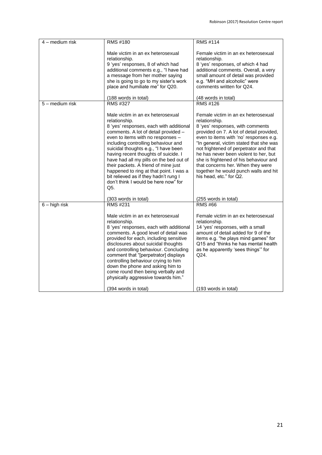| 4 - medium risk | <b>RMS #180</b>                                                                                                                                                                                                                                                                                                                                                                                                                                                                                                         | <b>RMS #114</b>                                                                                                                                                                                                                                                                                                                                                                                                                                                 |
|-----------------|-------------------------------------------------------------------------------------------------------------------------------------------------------------------------------------------------------------------------------------------------------------------------------------------------------------------------------------------------------------------------------------------------------------------------------------------------------------------------------------------------------------------------|-----------------------------------------------------------------------------------------------------------------------------------------------------------------------------------------------------------------------------------------------------------------------------------------------------------------------------------------------------------------------------------------------------------------------------------------------------------------|
|                 | Male victim in an ex heterosexual<br>relationship.<br>9 'yes' responses, 8 of which had<br>additional comments e.g., "I have had<br>a message from her mother saying<br>she is going to go to my sister's work<br>place and humiliate me" for Q20.                                                                                                                                                                                                                                                                      | Female victim in an ex heterosexual<br>relationship.<br>8 'yes' responses, of which 4 had<br>additional comments. Overall, a very<br>small amount of detail was provided<br>e.g. "MH and alcoholic" were<br>comments written for Q24.                                                                                                                                                                                                                           |
| 5 - medium risk | (188 words in total)<br><b>RMS #327</b>                                                                                                                                                                                                                                                                                                                                                                                                                                                                                 | (48 words in total)<br>RMS #126                                                                                                                                                                                                                                                                                                                                                                                                                                 |
|                 | Male victim in an ex heterosexual<br>relationship.<br>8 'yes' responses, each with additional<br>comments. A lot of detail provided -<br>even to items with no responses -<br>including controlling behaviour and<br>suicidal thoughts e.g., "I have been<br>having recent thoughts of suicide. I<br>have had all my pills on the bed out of<br>their packets. A friend of mine just<br>happened to ring at that point. I was a<br>bit relieved as if they hadn't rung I<br>don't think I would be here now" for<br>Q5. | Female victim in an ex heterosexual<br>relationship.<br>8 'yes' responses, with comments<br>provided on 7. A lot of detail provided,<br>even to items with 'no' responses e.g.<br>"In general, victim stated that she was<br>not frightened of perpetrator and that<br>he has never been violent to her, but<br>she is frightened of his behaviour and<br>that concerns her. When they were<br>together he would punch walls and hit<br>his head, etc." for Q2. |
|                 | (303 words in total)                                                                                                                                                                                                                                                                                                                                                                                                                                                                                                    | (255 words in total)                                                                                                                                                                                                                                                                                                                                                                                                                                            |
| $6 - high$ risk | <b>RMS #231</b><br>Male victim in an ex heterosexual<br>relationship.<br>8 'yes' responses, each with additional<br>comments. A good level of detail was<br>provided for each, including sensitive<br>disclosures about suicidal thoughts<br>and controlling behaviour. Concluding<br>comment that "[perpetrator] displays<br>controlling behaviour crying to him<br>down the phone and asking him to<br>come round then being verbally and<br>physically aggressive towards him."                                      | <b>RMS #66</b><br>Female victim in an ex heterosexual<br>relationship.<br>14 'yes' responses, with a small<br>amount of detail added for 9 of the<br>items e.g. "he plays mind games" for<br>Q15 and "thinks he has mental health<br>as he apparently 'sees things" for<br>Q24.                                                                                                                                                                                 |
|                 | (394 words in total)                                                                                                                                                                                                                                                                                                                                                                                                                                                                                                    | (193 words in total)                                                                                                                                                                                                                                                                                                                                                                                                                                            |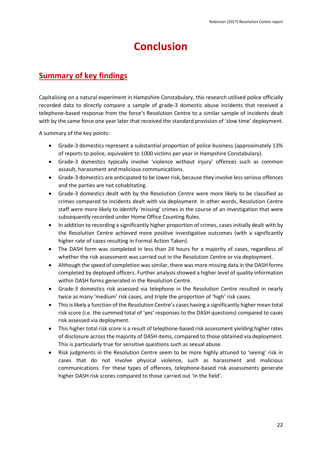## **Conclusion**

## <span id="page-21-1"></span><span id="page-21-0"></span>**Summary of key findings**

Capitalising on a natural experiment in Hampshire Constabulary, this research utilised police officially recorded data to directly compare a sample of grade-3 domestic abuse incidents that received a telephone-based response from the force's Resolution Centre to a similar sample of incidents dealt with by the same force one year later that received the standard provision of 'slow time' deployment.

A summary of the key points:

- Grade-3 domestics represent a substantial proportion of police business (approximately 13% of reports to police, equivalent to 1000 victims per year in Hampshire Constabulary).
- Grade-3 domestics typically involve 'violence without injury' offences such as common assault, harassment and malicious communications.
- Grade-3 domestics are anticipated to be lower risk, because they involve less serious offences and the parties are not cohabitating.
- Grade-3 domestics dealt with by the Resolution Centre were more likely to be classified as crimes compared to incidents dealt with via deployment. In other words, Resolution Centre staff were more likely to identify 'missing' crimes in the course of an investigation that were subsequently recorded under Home Office Counting Rules.
- In addition to recording a significantly higher proportion of crimes, cases initially dealt with by the Resolution Centre achieved more positive investigative outcomes (with a significantly higher rate of cases resulting in Formal Action Taken).
- The DASH form was completed in less than 24 hours for a majority of cases, regardless of whether the risk assessment was carried out in the Resolution Centre or via deployment.
- Although the speed of completion was similar, there was more missing data in the DASH forms completed by deployed officers. Further analysis showed a higher level of quality information within DASH forms generated in the Resolution Centre.
- Grade-3 domestics risk assessed via telephone in the Resolution Centre resulted in nearly twice as many 'medium' risk cases, and triple the proportion of 'high' risk cases.
- This is likely a function of the Resolution Centre's cases having a significantly higher mean total risk score (i.e. the summed total of 'yes' responses to the DASH questions) compared to cases risk assessed via deployment.
- This higher total risk score is a result of telephone-based risk assessment yielding higher rates of disclosure across the majority of DASH items, compared to those obtained via deployment. This is particularly true for sensitive questions such as sexual abuse.
- Risk judgments in the Resolution Centre seem to be more highly attuned to 'seeing' risk in cases that do not involve physical violence, such as harassment and malicious communications. For these types of offences, telephone-based risk assessments generate higher DASH risk scores compared to those carried out 'in the field'.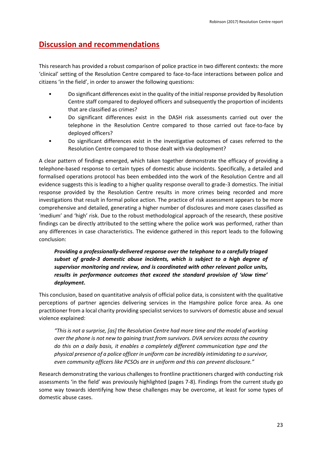## <span id="page-22-0"></span>**Discussion and recommendations**

This research has provided a robust comparison of police practice in two different contexts: the more 'clinical' setting of the Resolution Centre compared to face-to-face interactions between police and citizens 'in the field', in order to answer the following questions:

- Do significant differences exist in the quality of the initial response provided by Resolution Centre staff compared to deployed officers and subsequently the proportion of incidents that are classified as crimes?
- Do significant differences exist in the DASH risk assessments carried out over the telephone in the Resolution Centre compared to those carried out face-to-face by deployed officers?
- Do significant differences exist in the investigative outcomes of cases referred to the Resolution Centre compared to those dealt with via deployment?

A clear pattern of findings emerged, which taken together demonstrate the efficacy of providing a telephone-based response to certain types of domestic abuse incidents. Specifically, a detailed and formalised operations protocol has been embedded into the work of the Resolution Centre and all evidence suggests this is leading to a higher quality response overall to grade-3 domestics. The initial response provided by the Resolution Centre results in more crimes being recorded and more investigations that result in formal police action. The practice of risk assessment appears to be more comprehensive and detailed, generating a higher number of disclosures and more cases classified as 'medium' and 'high' risk. Due to the robust methodological approach of the research, these positive findings can be directly attributed to the setting where the police work was performed, rather than any differences in case characteristics. The evidence gathered in this report leads to the following conclusion:

*Providing a professionally-delivered response over the telephone to a carefully triaged subset of grade-3 domestic abuse incidents, which is subject to a high degree of supervisor monitoring and review, and is coordinated with other relevant police units, results in performance outcomes that exceed the standard provision of 'slow time' deployment***.**

This conclusion, based on quantitative analysis of official police data, is consistent with the qualitative perceptions of partner agencies delivering services in the Hampshire police force area. As one practitioner from a local charity providing specialist services to survivors of domestic abuse and sexual violence explained:

*"This is not a surprise, [as] the Resolution Centre had more time and the model of working over the phone is not new to gaining trust from survivors. DVA services across the country do this on a daily basis, it enables a completely different communication type and the physical presence of a police officer in uniform can be incredibly intimidating to a survivor, even community officers like PCSOs are in uniform and this can prevent disclosure."*

Research demonstrating the various challenges to frontline practitioners charged with conducting risk assessments 'in the field' was previously highlighted (pages 7-8). Findings from the current study go some way towards identifying how these challenges may be overcome, at least for some types of domestic abuse cases.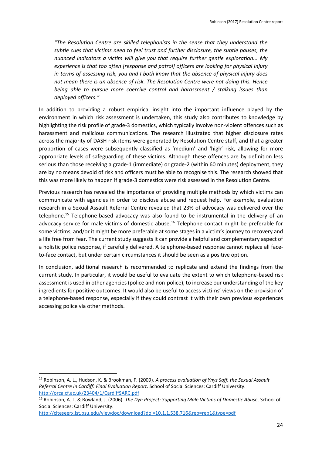*"The Resolution Centre are skilled telephonists in the sense that they understand the subtle cues that victims need to feel trust and further disclosure, the subtle pauses, the nuanced indicators a victim will give you that require further gentle exploration... My experience is that too often [response and patrol] officers are looking for physical injury in terms of assessing risk, you and I both know that the absence of physical injury does not mean there is an absence of risk. The Resolution Centre were not doing this. Hence being able to pursue more coercive control and harassment / stalking issues than deployed officers."* 

In addition to providing a robust empirical insight into the important influence played by the environment in which risk assessment is undertaken, this study also contributes to knowledge by highlighting the risk profile of grade-3 domestics, which typically involve non-violent offences such as harassment and malicious communications. The research illustrated that higher disclosure rates across the majority of DASH risk items were generated by Resolution Centre staff, and that a greater proportion of cases were subsequently classified as 'medium' and 'high' risk, allowing for more appropriate levels of safeguarding of these victims. Although these offences are by definition less serious than those receiving a grade-1 (immediate) or grade-2 (within 60 minutes) deployment, they are by no means devoid of risk and officers must be able to recognise this. The research showed that this was more likely to happen if grade-3 domestics were risk assessed in the Resolution Centre.

Previous research has revealed the importance of providing multiple methods by which victims can communicate with agencies in order to disclose abuse and request help. For example, evaluation research in a Sexual Assault Referral Centre revealed that 23% of advocacy was delivered over the telephone.<sup>15</sup> Telephone-based advocacy was also found to be instrumental in the delivery of an advocacy service for male victims of domestic abuse.<sup>16</sup> Telephone contact might be preferable for some victims, and/or it might be more preferable at some stages in a victim's journey to recovery and a life free from fear. The current study suggests it can provide a helpful and complementary aspect of a holistic police response, if carefully delivered. A telephone-based response cannot replace all faceto-face contact, but under certain circumstances it should be seen as a positive option.

In conclusion, additional research is recommended to replicate and extend the findings from the current study. In particular, it would be useful to evaluate the extent to which telephone-based risk assessment is used in other agencies (police and non-police), to increase our understanding of the key ingredients for positive outcomes. It would also be useful to access victims' views on the provision of a telephone-based response, especially if they could contrast it with their own previous experiences accessing police via other methods.

**.** 

<sup>15</sup> Robinson, A. L., Hudson, K. & Brookman, F. (2009). *A process evaluation of Ynys Saff, the Sexual Assault Referral Centre in Cardiff: Final Evaluation Report*. School of Social Sciences: Cardiff University. <http://orca.cf.ac.uk/23404/1/CardiffSARC.pdf>

<sup>16</sup> Robinson, A. L. & Rowland, J. (2006). *The Dyn Project: Supporting Male Victims of Domestic Abuse*. School of Social Sciences: Cardiff University.

<http://citeseerx.ist.psu.edu/viewdoc/download?doi=10.1.1.538.716&rep=rep1&type=pdf>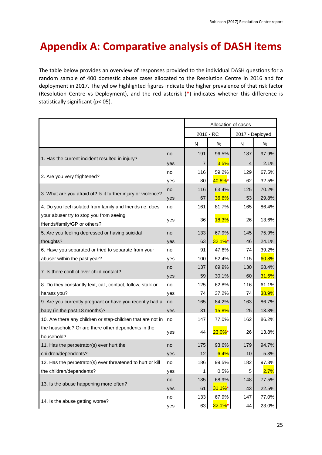# <span id="page-24-0"></span>**Appendix A: Comparative analysis of DASH items**

The table below provides an overview of responses provided to the individual DASH questions for a random sample of 400 domestic abuse cases allocated to the Resolution Centre in 2016 and for deployment in 2017. The yellow highlighted figures indicate the higher prevalence of that risk factor (Resolution Centre vs Deployment), and the red asterisk (**\***) indicates whether this difference is statistically significant (p<.05).

|                                                                         |     | Allocation of cases |              |                 |       |
|-------------------------------------------------------------------------|-----|---------------------|--------------|-----------------|-------|
|                                                                         |     | 2016 - RC           |              | 2017 - Deployed |       |
|                                                                         |     | N                   | %            | N               | %     |
|                                                                         | no  | 191                 | 96.5%        | 187             | 97.9% |
| 1. Has the current incident resulted in injury?                         | yes | $\overline{7}$      | 3.5%         | $\overline{4}$  | 2.1%  |
|                                                                         | no  | 116                 | 59.2%        | 129             | 67.5% |
| 2. Are you very frightened?                                             | yes | 80                  | 40.8%*       | 62              | 32.5% |
|                                                                         | no  | 116                 | 63.4%        | 125             | 70.2% |
| 3. What are you afraid of? Is it further injury or violence?            | yes | 67                  | 36.6%        | 53              | 29.8% |
| 4. Do you feel isolated from family and friends i.e. does               | no  | 161                 | 81.7%        | 165             | 86.4% |
| your abuser try to stop you from seeing<br>friends/family/GP or others? | yes | 36                  | <b>18.3%</b> | 26              | 13.6% |
| 5. Are you feeling depressed or having suicidal                         | no  | 133                 | 67.9%        | 145             | 75.9% |
| thoughts?                                                               | yes | 63                  | $32.1\%$ *   | 46              | 24.1% |
| 6. Have you separated or tried to separate from your                    | no  | 91                  | 47.6%        | 74              | 39.2% |
| abuser within the past year?                                            | yes | 100                 | 52.4%        | 115             | 60.8% |
|                                                                         | no  | 137                 | 69.9%        | 130             | 68.4% |
| 7. Is there conflict over child contact?                                | yes | 59                  | 30.1%        | 60              | 31.6% |
| 8. Do they constantly text, call, contact, follow, stalk or             | no  | 125                 | 62.8%        | 116             | 61.1% |
| harass you?                                                             | yes | 74                  | 37.2%        | 74              | 38.9% |
| 9. Are you currently pregnant or have you recently had a                | no  | 165                 | 84.2%        | 163             | 86.7% |
| baby (in the past 18 months)?                                           | yes | 31                  | 15.8%        | 25              | 13.3% |
| 10. Are there any children or step-children that are not in             | no  | 147                 | 77.0%        | 162             | 86.2% |
| the household? Or are there other dependents in the<br>household?       | yes | 44                  | $23.0\%$ *   | 26              | 13.8% |
| 11. Has the perpetrator(s) ever hurt the                                | no  | 175                 | 93.6%        | 179             | 94.7% |
| children/dependents?                                                    | yes | 12                  | 6.4%         | 10              | 5.3%  |
| 12. Has the perpetrator(s) ever threatened to hurt or kill              | no  | 186                 | 99.5%        | 182             | 97.3% |
| the children/dependents?                                                | yes | 1                   | 0.5%         | 5               | 2.7%  |
| 13. Is the abuse happening more often?                                  | no  | 135                 | 68.9%        | 148             | 77.5% |
|                                                                         | yes | 61                  | $31.1\%$ *   | 43              | 22.5% |
| 14. Is the abuse getting worse?                                         | no  | 133                 | 67.9%        | 147             | 77.0% |
|                                                                         | yes | 63                  | $32.1\%$ *   | 44              | 23.0% |